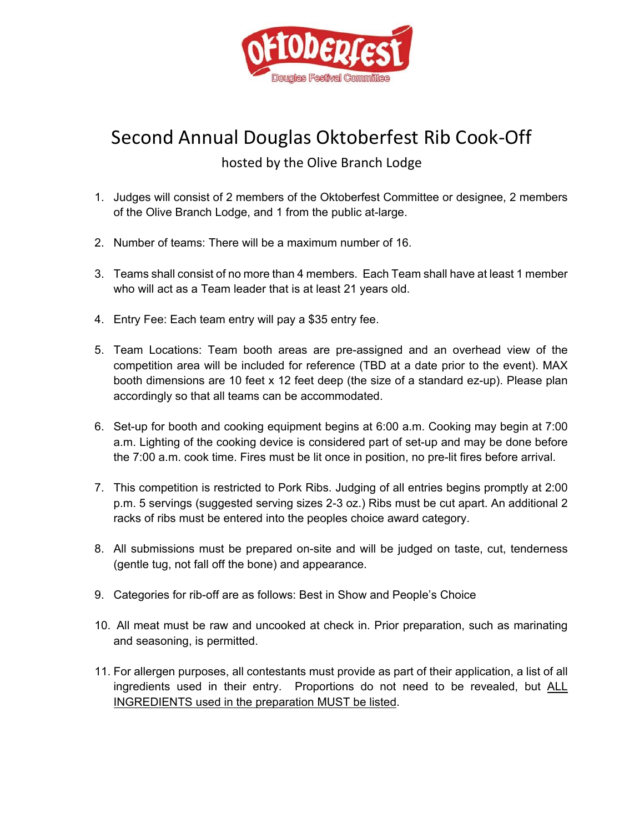

## Second Annual Douglas Oktoberfest Rib Cook‐Off

## hosted by the Olive Branch Lodge

- 1. Judges will consist of 2 members of the Oktoberfest Committee or designee, 2 members of the Olive Branch Lodge, and 1 from the public at-large.
- 2. Number of teams: There will be a maximum number of 16.
- 3. Teams shall consist of no more than 4 members. Each Team shall have at least 1 member who will act as a Team leader that is at least 21 years old.
- 4. Entry Fee: Each team entry will pay a \$35 entry fee.
- 5. Team Locations: Team booth areas are pre-assigned and an overhead view of the competition area will be included for reference (TBD at a date prior to the event). MAX booth dimensions are 10 feet x 12 feet deep (the size of a standard ez-up). Please plan accordingly so that all teams can be accommodated.
- 6. Set-up for booth and cooking equipment begins at 6:00 a.m. Cooking may begin at 7:00 a.m. Lighting of the cooking device is considered part of set-up and may be done before the 7:00 a.m. cook time. Fires must be lit once in position, no pre-lit fires before arrival.
- 7. This competition is restricted to Pork Ribs. Judging of all entries begins promptly at 2:00 p.m. 5 servings (suggested serving sizes 2-3 oz.) Ribs must be cut apart. An additional 2 racks of ribs must be entered into the peoples choice award category.
- 8. All submissions must be prepared on-site and will be judged on taste, cut, tenderness (gentle tug, not fall off the bone) and appearance.
- 9. Categories for rib-off are as follows: Best in Show and People's Choice
- 10. All meat must be raw and uncooked at check in. Prior preparation, such as marinating and seasoning, is permitted.
- 11. For allergen purposes, all contestants must provide as part of their application, a list of all ingredients used in their entry. Proportions do not need to be revealed, but ALL INGREDIENTS used in the preparation MUST be listed.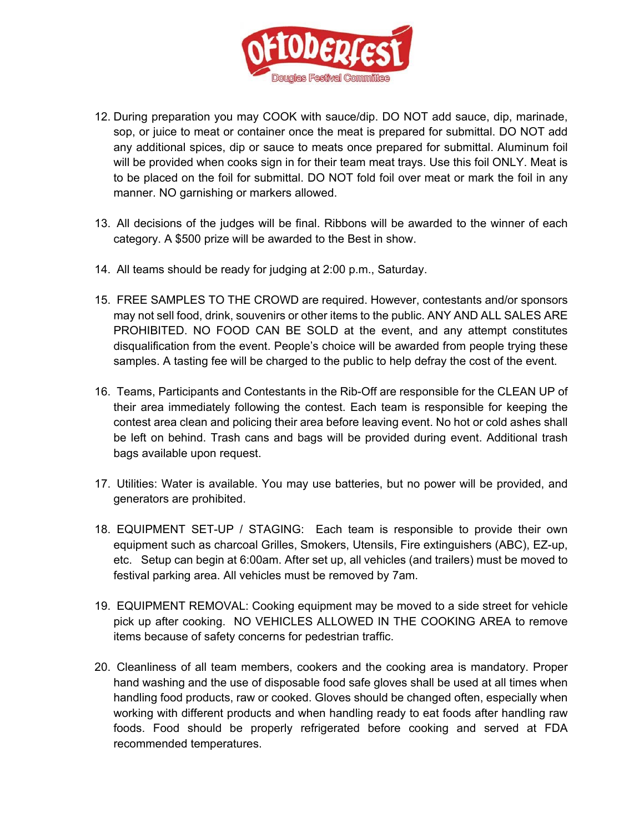

- 12. During preparation you may COOK with sauce/dip. DO NOT add sauce, dip, marinade, sop, or juice to meat or container once the meat is prepared for submittal. DO NOT add any additional spices, dip or sauce to meats once prepared for submittal. Aluminum foil will be provided when cooks sign in for their team meat trays. Use this foil ONLY. Meat is to be placed on the foil for submittal. DO NOT fold foil over meat or mark the foil in any manner. NO garnishing or markers allowed.
- 13. All decisions of the judges will be final. Ribbons will be awarded to the winner of each category. A \$500 prize will be awarded to the Best in show.
- 14. All teams should be ready for judging at 2:00 p.m., Saturday.
- 15. FREE SAMPLES TO THE CROWD are required. However, contestants and/or sponsors may not sell food, drink, souvenirs or other items to the public. ANY AND ALL SALES ARE PROHIBITED. NO FOOD CAN BE SOLD at the event, and any attempt constitutes disqualification from the event. People's choice will be awarded from people trying these samples. A tasting fee will be charged to the public to help defray the cost of the event.
- 16. Teams, Participants and Contestants in the Rib-Off are responsible for the CLEAN UP of their area immediately following the contest. Each team is responsible for keeping the contest area clean and policing their area before leaving event. No hot or cold ashes shall be left on behind. Trash cans and bags will be provided during event. Additional trash bags available upon request.
- 17. Utilities: Water is available. You may use batteries, but no power will be provided, and generators are prohibited.
- 18. EQUIPMENT SET-UP / STAGING: Each team is responsible to provide their own equipment such as charcoal Grilles, Smokers, Utensils, Fire extinguishers (ABC), EZ-up, etc. Setup can begin at 6:00am. After set up, all vehicles (and trailers) must be moved to festival parking area. All vehicles must be removed by 7am.
- 19. EQUIPMENT REMOVAL: Cooking equipment may be moved to a side street for vehicle pick up after cooking. NO VEHICLES ALLOWED IN THE COOKING AREA to remove items because of safety concerns for pedestrian traffic.
- 20. Cleanliness of all team members, cookers and the cooking area is mandatory. Proper hand washing and the use of disposable food safe gloves shall be used at all times when handling food products, raw or cooked. Gloves should be changed often, especially when working with different products and when handling ready to eat foods after handling raw foods. Food should be properly refrigerated before cooking and served at FDA recommended temperatures.